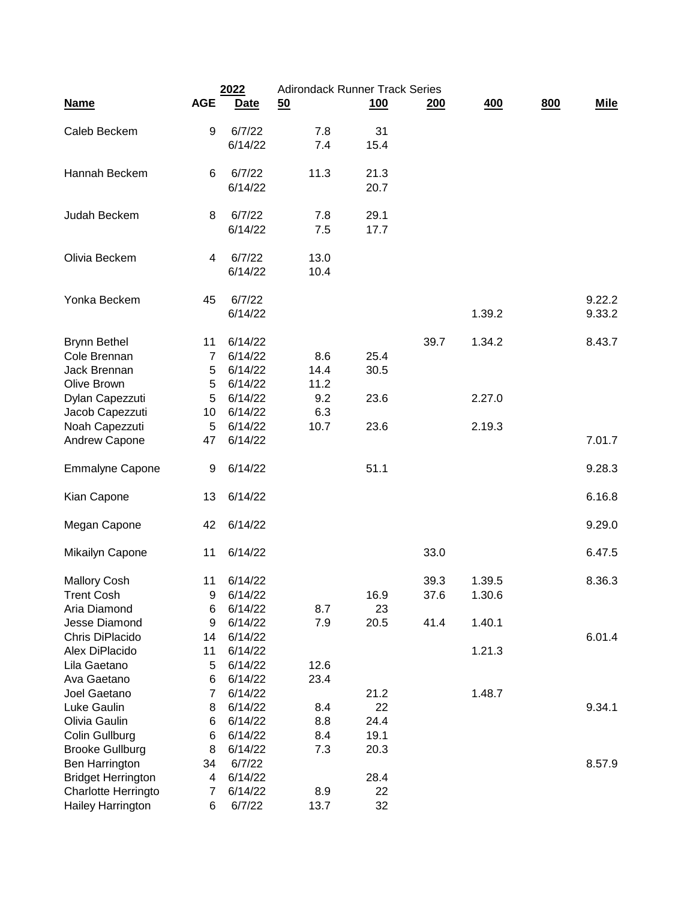|                           | 2022           |             | <b>Adirondack Runner Track Series</b> |            |            |        |     |             |
|---------------------------|----------------|-------------|---------------------------------------|------------|------------|--------|-----|-------------|
| <b>Name</b>               | <b>AGE</b>     | <b>Date</b> | 50                                    | <u>100</u> | <u>200</u> | 400    | 800 | <b>Mile</b> |
| Caleb Beckem              | 9              | 6/7/22      | 7.8                                   | 31         |            |        |     |             |
|                           |                | 6/14/22     | 7.4                                   | 15.4       |            |        |     |             |
| Hannah Beckem             | 6              | 6/7/22      | 11.3                                  | 21.3       |            |        |     |             |
|                           |                | 6/14/22     |                                       | 20.7       |            |        |     |             |
| Judah Beckem              | 8              | 6/7/22      | 7.8                                   | 29.1       |            |        |     |             |
|                           |                | 6/14/22     | 7.5                                   | 17.7       |            |        |     |             |
| Olivia Beckem             | 4              | 6/7/22      | 13.0                                  |            |            |        |     |             |
|                           |                | 6/14/22     | 10.4                                  |            |            |        |     |             |
| Yonka Beckem              | 45             | 6/7/22      |                                       |            |            |        |     | 9.22.2      |
|                           |                | 6/14/22     |                                       |            |            | 1.39.2 |     | 9.33.2      |
| <b>Brynn Bethel</b>       | 11             | 6/14/22     |                                       |            | 39.7       | 1.34.2 |     | 8.43.7      |
| Cole Brennan              | 7              | 6/14/22     | 8.6                                   | 25.4       |            |        |     |             |
| Jack Brennan              | 5              | 6/14/22     | 14.4                                  | 30.5       |            |        |     |             |
| Olive Brown               | 5              | 6/14/22     | 11.2                                  |            |            |        |     |             |
| Dylan Capezzuti           | 5              | 6/14/22     | 9.2                                   | 23.6       |            | 2.27.0 |     |             |
| Jacob Capezzuti           | 10             | 6/14/22     | 6.3                                   |            |            |        |     |             |
| Noah Capezzuti            | 5              | 6/14/22     | 10.7                                  | 23.6       |            | 2.19.3 |     |             |
| Andrew Capone             | 47             | 6/14/22     |                                       |            |            |        |     | 7.01.7      |
| <b>Emmalyne Capone</b>    | 9              | 6/14/22     |                                       | 51.1       |            |        |     | 9.28.3      |
| Kian Capone               | 13             | 6/14/22     |                                       |            |            |        |     | 6.16.8      |
| Megan Capone              | 42             | 6/14/22     |                                       |            |            |        |     | 9.29.0      |
| Mikailyn Capone           | 11             | 6/14/22     |                                       |            | 33.0       |        |     | 6.47.5      |
| <b>Mallory Cosh</b>       | 11             | 6/14/22     |                                       |            | 39.3       | 1.39.5 |     | 8.36.3      |
| <b>Trent Cosh</b>         | 9              | 6/14/22     |                                       | 16.9       | 37.6       | 1.30.6 |     |             |
| Aria Diamond              | 6              | 6/14/22     | 8.7                                   | 23         |            |        |     |             |
| Jesse Diamond             | 9              | 6/14/22     | 7.9                                   | 20.5       | 41.4       | 1.40.1 |     |             |
| Chris DiPlacido           | 14             | 6/14/22     |                                       |            |            |        |     | 6.01.4      |
| Alex DiPlacido            | 11             | 6/14/22     |                                       |            |            | 1.21.3 |     |             |
| Lila Gaetano              | 5              | 6/14/22     | 12.6                                  |            |            |        |     |             |
| Ava Gaetano               | 6              | 6/14/22     | 23.4                                  |            |            |        |     |             |
| Joel Gaetano              | 7              | 6/14/22     |                                       | 21.2       |            | 1.48.7 |     |             |
| Luke Gaulin               | 8              | 6/14/22     | 8.4                                   | 22         |            |        |     | 9.34.1      |
| Olivia Gaulin             | 6              | 6/14/22     | 8.8                                   | 24.4       |            |        |     |             |
| Colin Gullburg            | 6              | 6/14/22     | 8.4                                   | 19.1       |            |        |     |             |
| <b>Brooke Gullburg</b>    | 8              | 6/14/22     | 7.3                                   | 20.3       |            |        |     |             |
| Ben Harrington            | 34             | 6/7/22      |                                       |            |            |        |     | 8.57.9      |
| <b>Bridget Herrington</b> | 4              | 6/14/22     |                                       | 28.4       |            |        |     |             |
| Charlotte Herringto       | $\overline{7}$ | 6/14/22     | 8.9                                   | 22         |            |        |     |             |
| Hailey Harrington         | 6              | 6/7/22      | 13.7                                  | 32         |            |        |     |             |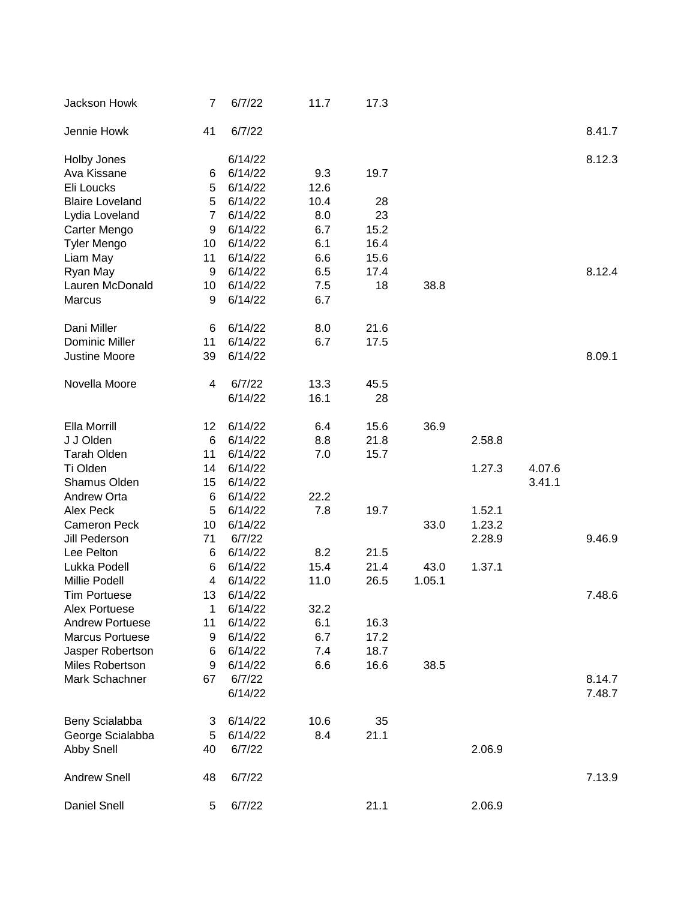| Jackson Howk           | $\overline{7}$ | 6/7/22  | 11.7 | 17.3 |        |        |        |        |
|------------------------|----------------|---------|------|------|--------|--------|--------|--------|
| Jennie Howk            | 41             | 6/7/22  |      |      |        |        |        | 8.41.7 |
| Holby Jones            |                | 6/14/22 |      |      |        |        |        | 8.12.3 |
| Ava Kissane            | 6              | 6/14/22 | 9.3  | 19.7 |        |        |        |        |
| Eli Loucks             | 5              | 6/14/22 | 12.6 |      |        |        |        |        |
| <b>Blaire Loveland</b> | 5              | 6/14/22 | 10.4 | 28   |        |        |        |        |
| Lydia Loveland         | $\overline{7}$ | 6/14/22 | 8.0  | 23   |        |        |        |        |
| Carter Mengo           | 9              | 6/14/22 | 6.7  | 15.2 |        |        |        |        |
| <b>Tyler Mengo</b>     | 10             | 6/14/22 | 6.1  | 16.4 |        |        |        |        |
| Liam May               | 11             | 6/14/22 | 6.6  | 15.6 |        |        |        |        |
| Ryan May               | 9              | 6/14/22 | 6.5  | 17.4 |        |        |        | 8.12.4 |
| Lauren McDonald        | 10             | 6/14/22 | 7.5  | 18   | 38.8   |        |        |        |
| <b>Marcus</b>          | 9              | 6/14/22 | 6.7  |      |        |        |        |        |
|                        |                |         |      |      |        |        |        |        |
| Dani Miller            | 6              | 6/14/22 | 8.0  | 21.6 |        |        |        |        |
| <b>Dominic Miller</b>  | 11             | 6/14/22 | 6.7  | 17.5 |        |        |        |        |
| Justine Moore          | 39             | 6/14/22 |      |      |        |        |        | 8.09.1 |
| Novella Moore          | 4              | 6/7/22  | 13.3 | 45.5 |        |        |        |        |
|                        |                | 6/14/22 | 16.1 | 28   |        |        |        |        |
|                        |                |         |      |      |        |        |        |        |
| Ella Morrill           | 12             | 6/14/22 | 6.4  | 15.6 | 36.9   |        |        |        |
| J J Olden              | 6              | 6/14/22 | 8.8  | 21.8 |        | 2.58.8 |        |        |
| <b>Tarah Olden</b>     | 11             | 6/14/22 | 7.0  | 15.7 |        |        |        |        |
| Ti Olden               | 14             | 6/14/22 |      |      |        | 1.27.3 | 4.07.6 |        |
| Shamus Olden           | 15             | 6/14/22 |      |      |        |        | 3.41.1 |        |
| Andrew Orta            | 6              | 6/14/22 | 22.2 |      |        |        |        |        |
| Alex Peck              | 5              | 6/14/22 | 7.8  | 19.7 |        | 1.52.1 |        |        |
| <b>Cameron Peck</b>    | 10             | 6/14/22 |      |      | 33.0   | 1.23.2 |        |        |
| Jill Pederson          | 71             | 6/7/22  |      |      |        | 2.28.9 |        | 9.46.9 |
| Lee Pelton             | 6              | 6/14/22 | 8.2  | 21.5 |        |        |        |        |
| Lukka Podell           | 6              | 6/14/22 | 15.4 | 21.4 | 43.0   | 1.37.1 |        |        |
| Millie Podell          | 4              | 6/14/22 | 11.0 | 26.5 | 1.05.1 |        |        |        |
| <b>Tim Portuese</b>    | 13             | 6/14/22 |      |      |        |        |        | 7.48.6 |
| Alex Portuese          | 1              | 6/14/22 | 32.2 |      |        |        |        |        |
| <b>Andrew Portuese</b> | 11             | 6/14/22 | 6.1  | 16.3 |        |        |        |        |
| <b>Marcus Portuese</b> |                |         |      |      |        |        |        |        |
|                        | 9              | 6/14/22 | 6.7  | 17.2 |        |        |        |        |
| Jasper Robertson       | 6              | 6/14/22 | 7.4  | 18.7 |        |        |        |        |
| Miles Robertson        | 9              | 6/14/22 | 6.6  | 16.6 | 38.5   |        |        |        |
| Mark Schachner         | 67             | 6/7/22  |      |      |        |        |        | 8.14.7 |
|                        |                | 6/14/22 |      |      |        |        |        | 7.48.7 |
| Beny Scialabba         | 3              | 6/14/22 | 10.6 | 35   |        |        |        |        |
| George Scialabba       | 5              | 6/14/22 | 8.4  | 21.1 |        |        |        |        |
| <b>Abby Snell</b>      | 40             | 6/7/22  |      |      |        | 2.06.9 |        |        |
|                        |                |         |      |      |        |        |        |        |
| <b>Andrew Snell</b>    | 48             | 6/7/22  |      |      |        |        |        | 7.13.9 |
| Daniel Snell           | 5              | 6/7/22  |      | 21.1 |        | 2.06.9 |        |        |
|                        |                |         |      |      |        |        |        |        |